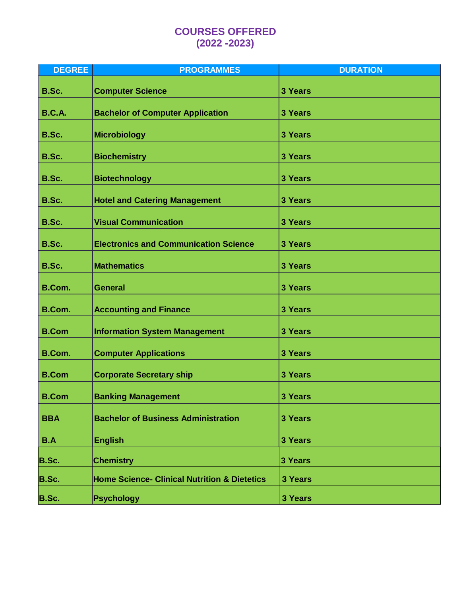# **COURSES OFFERED (2022 -2023)**

| <b>DEGREE</b> | <b>PROGRAMMES</b>                                       | <b>DURATION</b> |
|---------------|---------------------------------------------------------|-----------------|
| B.Sc.         | <b>Computer Science</b>                                 | 3 Years         |
| <b>B.C.A.</b> | <b>Bachelor of Computer Application</b>                 | 3 Years         |
| B.Sc.         | <b>Microbiology</b>                                     | 3 Years         |
| B.Sc.         | <b>Biochemistry</b>                                     | 3 Years         |
| B.Sc.         | <b>Biotechnology</b>                                    | 3 Years         |
| B.Sc.         | <b>Hotel and Catering Management</b>                    | 3 Years         |
| B.Sc.         | <b>Visual Communication</b>                             | 3 Years         |
| B.Sc.         | <b>Electronics and Communication Science</b>            | 3 Years         |
| B.Sc.         | <b>Mathematics</b>                                      | 3 Years         |
| B.Com.        | <b>General</b>                                          | 3 Years         |
| <b>B.Com.</b> | <b>Accounting and Finance</b>                           | 3 Years         |
| <b>B.Com</b>  | <b>Information System Management</b>                    | 3 Years         |
| <b>B.Com.</b> | <b>Computer Applications</b>                            | 3 Years         |
| <b>B.Com</b>  | <b>Corporate Secretary ship</b>                         | 3 Years         |
| <b>B.Com</b>  | <b>Banking Management</b>                               | 3 Years         |
| <b>BBA</b>    | <b>Bachelor of Business Administration</b>              | 3 Years         |
| B.A           | <b>English</b>                                          | 3 Years         |
| B.Sc.         | <b>Chemistry</b>                                        | 3 Years         |
| B.Sc.         | <b>Home Science- Clinical Nutrition &amp; Dietetics</b> | 3 Years         |
| B.Sc.         | Psychology                                              | 3 Years         |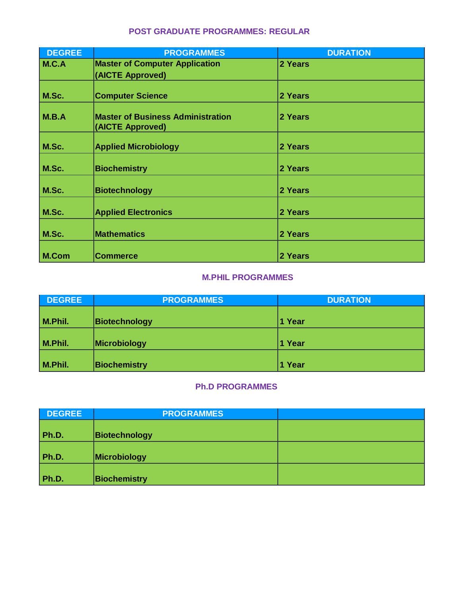| <b>POST GRADUATE PROGRAMMES: REGULAR</b> |
|------------------------------------------|
|------------------------------------------|

| <b>DEGREE</b> | <b>PROGRAMMES</b>                                            | <b>DURATION</b> |
|---------------|--------------------------------------------------------------|-----------------|
| M.C.A         | <b>Master of Computer Application</b>                        | 2 Years         |
|               | (AICTE Approved)                                             |                 |
|               |                                                              |                 |
| M.Sc.         | <b>Computer Science</b>                                      | 2 Years         |
| M.B.A         | <b>Master of Business Administration</b><br>(AICTE Approved) | 2 Years         |
| M.Sc.         | <b>Applied Microbiology</b>                                  | 2 Years         |
| M.Sc.         | <b>Biochemistry</b>                                          | 2 Years         |
| M.Sc.         | <b>Biotechnology</b>                                         | 2 Years         |
| M.Sc.         | <b>Applied Electronics</b>                                   | 2 Years         |
| M.Sc.         | <b>Mathematics</b>                                           | 2 Years         |
| M.Com         | <b>Commerce</b>                                              | 2 Years         |

#### **M.PHIL PROGRAMMES**

| <b>DEGREE</b> | <b>PROGRAMMES</b>   | <b>DURATION</b> |
|---------------|---------------------|-----------------|
| M.Phil.       | Biotechnology       | 1 Year          |
| M.Phil.       | Microbiology        | 1 Year          |
| M.Phil.       | <b>Biochemistry</b> | 1 Year          |

### **Ph.D PROGRAMMES**

| <b>DEGREE</b> | <b>PROGRAMMES</b>    |  |
|---------------|----------------------|--|
| Ph.D.         | <b>Biotechnology</b> |  |
| Ph.D.         | Microbiology         |  |
| Ph.D.         | <b>Biochemistry</b>  |  |